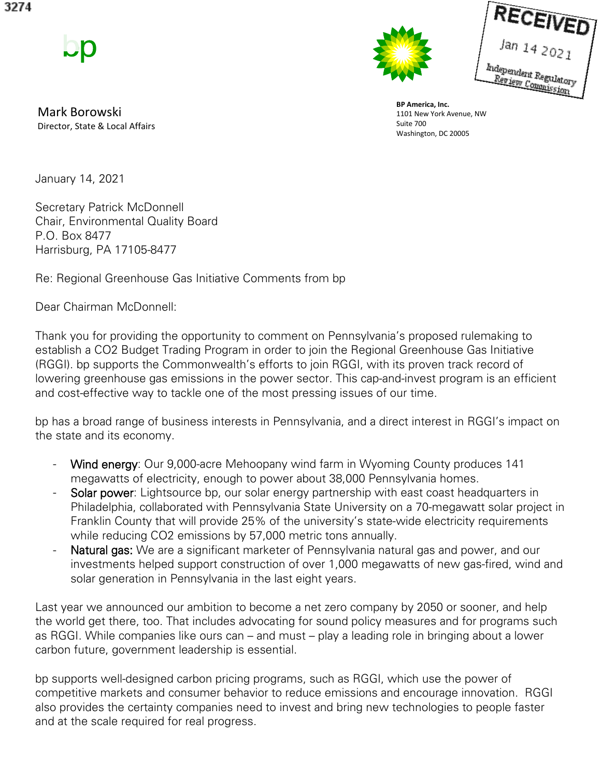

Mark Borowski Director, State & Local Affairs



.<br>Review Committee Review Regulate<br>Review Commission

**BP America, Inc.** 1101 New York Avenue, NW Suite 700 Washington, DC 20005

January 14, 2021

Secretary Patrick McDonnell Chair, Environmental Quality Board P.O. Box 8477 Harrisburg, PA 17105-8477

Re: Regional Greenhouse Gas Initiative Comments from bp

Dear Chairman McDonnell:

Thank you for providing the opportunity to comment on Pennsylvania's proposed rulemaking to establish a CO2 Budget Trading Program in order to join the Regional Greenhouse Gas Initiative (RGGI). bp supports the Commonwealth's efforts to join RGGI, with its proven track record of lowering greenhouse gas emissions in the power sector. This cap-and-invest program is an efficient and cost-effective way to tackle one of the most pressing issues of our time.

bp has a broad range of business interests in Pennsylvania, and a direct interest in RGGI's impact on the state and its economy.

- Wind energy: Our 9,000-acre Mehoopany wind farm in Wyoming County produces 141 megawatts of electricity, enough to power about 38,000 Pennsylvania homes.
- Solar power: Lightsource bp, our solar energy partnership with east coast headquarters in Philadelphia, collaborated with Pennsylvania State University on a 70-megawatt solar project in Franklin County that will provide 25% of the university's state-wide electricity requirements while reducing CO2 emissions by 57,000 metric tons annually.
- Natural gas: We are a significant marketer of Pennsylvania natural gas and power, and our investments helped support construction of over 1,000 megawatts of new gas-fired, wind and solar generation in Pennsylvania in the last eight years.

Last year we announced our ambition to become a net zero company by 2050 or sooner, and help the world get there, too. That includes advocating for sound policy measures and for programs such as RGGI. While companies like ours can – and must – play a leading role in bringing about a lower carbon future, government leadership is essential.

bp supports well-designed carbon pricing programs, such as RGGI, which use the power of competitive markets and consumer behavior to reduce emissions and encourage innovation. RGGI also provides the certainty companies need to invest and bring new technologies to people faster and at the scale required for real progress.